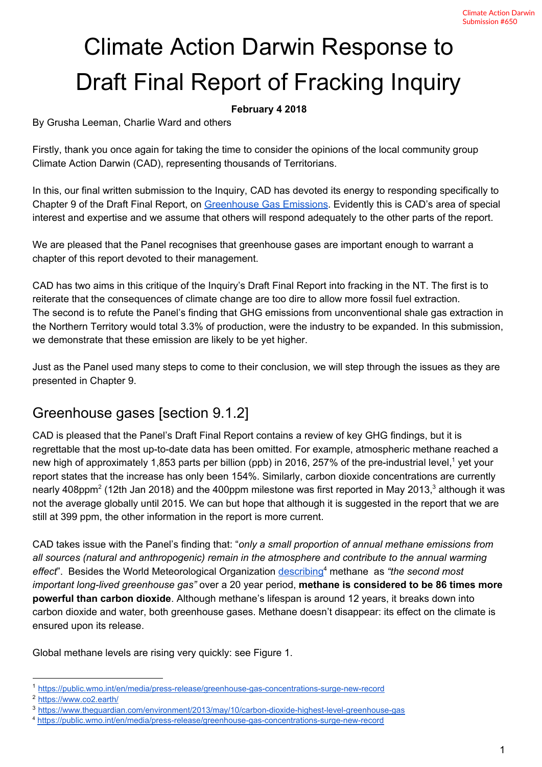# Climate Action Darwin Response to Draft Final Report of Fracking Inquiry

#### **February 4 2018**

By Grusha Leeman, Charlie Ward and others

Firstly, thank you once again for taking the time to consider the opinions of the local community group Climate Action Darwin (CAD), representing thousands of Territorians.

In this, our final written submission to the Inquiry, CAD has devoted its energy to responding specifically to Chapter 9 of the Draft Final Report, on [Greenhouse Gas Emissions.](https://frackinginquiry.nt.gov.au/inquiry-reports?a=465905) Evidently this is CAD's area of special interest and expertise and we assume that others will respond adequately to the other parts of the report.

We are pleased that the Panel recognises that greenhouse gases are important enough to warrant a chapter of this report devoted to their management.

CAD has two aims in this critique of the Inquiry's Draft Final Report into fracking in the NT. The first is to reiterate that the consequences of climate change are too dire to allow more fossil fuel extraction. The second is to refute the Panel's finding that GHG emissions from unconventional shale gas extraction in the Northern Territory would total 3.3% of production, were the industry to be expanded. In this submission, we demonstrate that these emission are likely to be yet higher.

Just as the Panel used many steps to come to their conclusion, we will step through the issues as they are presented in Chapter 9.

#### Greenhouse gases [section 9.1.2]

CAD is pleased that the Panel's Draft Final Report contains a review of key GHG findings, but it is regrettable that the most up-to-date data has been omitted. For example, atmospheric methane reached a new high of approximately 1,853 parts per billion (ppb) in 2016, 257% of the pre-industrial level,<sup>1</sup> yet your report states that the increase has only been 154%. Similarly, carbon dioxide concentrations are currently nearly 408ppm<sup>2</sup> (12th Jan 2018) and the 400ppm milestone was first reported in May 2013,<sup>3</sup> although it was not the average globally until 2015. We can but hope that although it is suggested in the report that we are still at 399 ppm, the other information in the report is more current.

CAD takes issue with the Panel's finding that: "*only a small proportion of annual methane emissions from all sources (natural and anthropogenic) remain in the atmosphere and contribute to the annual warming effect*". Besides the World Meteorological Organization [describing](https://public.wmo.int/en/media/press-release/greenhouse-gas-concentrations-surge-new-record)<sup>4</sup> methane as *"the second most important long-lived greenhouse gas"* over a 20 year period, **methane is considered to be 86 times more powerful than carbon dioxide**. Although methane's lifespan is around 12 years, it breaks down into carbon dioxide and water, both greenhouse gases. Methane doesn't disappear: its effect on the climate is ensured upon its release.

Global methane levels are rising very quickly: see Figure 1.

<sup>1</sup> <https://public.wmo.int/en/media/press-release/greenhouse-gas-concentrations-surge-new-record>

<sup>2</sup> <https://www.co2.earth/>

<sup>3</sup> <https://www.theguardian.com/environment/2013/may/10/carbon-dioxide-highest-level-greenhouse-gas>

<sup>4</sup> <https://public.wmo.int/en/media/press-release/greenhouse-gas-concentrations-surge-new-record>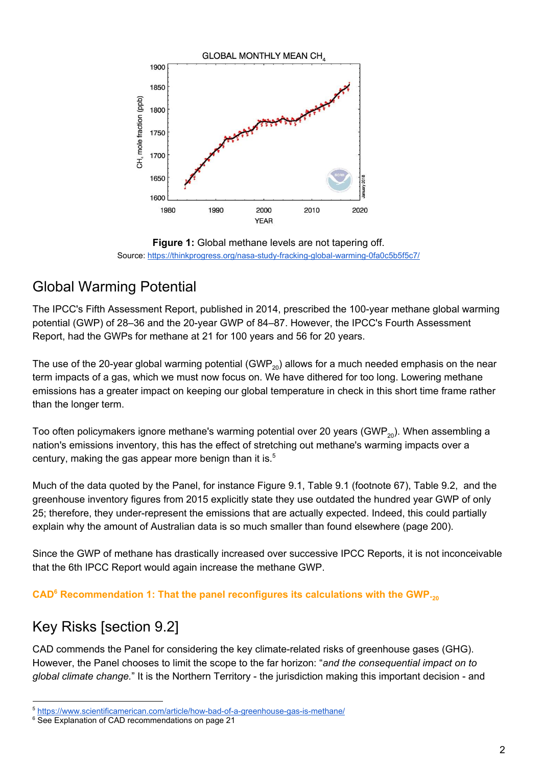

**Figure 1:** Global methane levels are not tapering off. Source: <https://thinkprogress.org/nasa-study-fracking-global-warming-0fa0c5b5f5c7/>

# Global Warming Potential

The IPCC's Fifth Assessment Report, published in 2014, prescribed the 100-year methane global warming potential (GWP) of 28–36 and the 20-year GWP of 84–87. However, the IPCC's Fourth Assessment Report, had the GWPs for methane at 21 for 100 years and 56 for 20 years.

The use of the 20-year global warming potential (GWP<sub>20</sub>) allows for a much needed emphasis on the near term impacts of a gas, which we must now focus on. We have dithered for too long. Lowering methane emissions has a greater impact on keeping our global temperature in check in this short time frame rather than the longer term.

Too often policymakers ignore methane's warming potential over 20 years (GWP<sub>20</sub>). When assembling a nation's emissions inventory, this has the effect of stretching out methane's warming impacts over a century, making the gas appear more benign than it is. $5$ 

Much of the data quoted by the Panel, for instance Figure 9.1, Table 9.1 (footnote 67), Table 9.2, and the greenhouse inventory figures from 2015 explicitly state they use outdated the hundred year GWP of only 25; therefore, they under-represent the emissions that are actually expected. Indeed, this could partially explain why the amount of Australian data is so much smaller than found elsewhere (page 200).

Since the GWP of methane has drastically increased over successive IPCC Reports, it is not inconceivable that the 6th IPCC Report would again increase the methane GWP.

#### CAD<sup>6</sup> Recommendation 1: That the panel reconfigures its calculations with the GWP.<sub>20</sub>

#### Key Risks [section 9.2]

CAD commends the Panel for considering the key climate-related risks of greenhouse gases (GHG). However, the Panel chooses to limit the scope to the far horizon: "*and the consequential impact on to global climate change.*" It is the Northern Territory - the jurisdiction making this important decision - and

<sup>5</sup> <https://www.scientificamerican.com/article/how-bad-of-a-greenhouse-gas-is-methane/>

<sup>&</sup>lt;sup>6</sup> See Explanation of CAD recommendations on page 21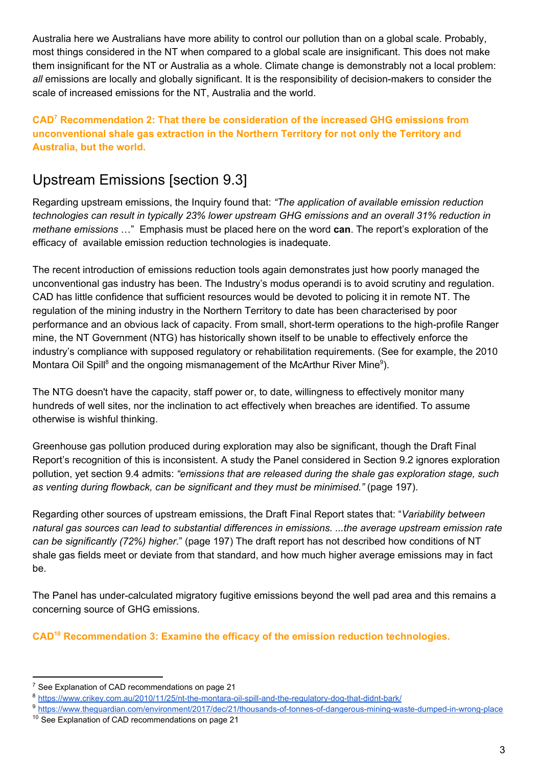Australia here we Australians have more ability to control our pollution than on a global scale. Probably, most things considered in the NT when compared to a global scale are insignificant. This does not make them insignificant for the NT or Australia as a whole. Climate change is demonstrably not a local problem: *all* emissions are locally and globally significant. It is the responsibility of decision-makers to consider the scale of increased emissions for the NT, Australia and the world.

**CAD<sup>7</sup> Recommendation 2: That there be consideration of the increased GHG emissions from unconventional shale gas extraction in the Northern Territory for not only the Territory and Australia, but the world.** 

#### Upstream Emissions [section 9.3]

Regarding upstream emissions, the Inquiry found that: *"The application of available emission reduction technologies can result in typically 23% lower upstream GHG emissions and an overall 31% reduction in methane emissions* …" Emphasis must be placed here on the word **can**. The report's exploration of the efficacy of available emission reduction technologies is inadequate.

The recent introduction of emissions reduction tools again demonstrates just how poorly managed the unconventional gas industry has been. The Industry's modus operandi is to avoid scrutiny and regulation. CAD has little confidence that sufficient resources would be devoted to policing it in remote NT. The regulation of the mining industry in the Northern Territory to date has been characterised by poor performance and an obvious lack of capacity. From small, short-term operations to the high-profile Ranger mine, the NT Government (NTG) has historically shown itself to be unable to effectively enforce the industry's compliance with supposed regulatory or rehabilitation requirements. (See for example, the 2010 Montara Oil Spill<sup>8</sup> and the ongoing mismanagement of the McArthur River Mine<sup>9</sup>).

The NTG doesn't have the capacity, staff power or, to date, willingness to effectively monitor many hundreds of well sites, nor the inclination to act effectively when breaches are identified. To assume otherwise is wishful thinking.

Greenhouse gas pollution produced during exploration may also be significant, though the Draft Final Report's recognition of this is inconsistent. A study the Panel considered in Section 9.2 ignores exploration pollution, yet section 9.4 admits: *"emissions that are released during the shale gas exploration stage, such as venting during flowback, can be significant and they must be minimised."* (page 197).

Regarding other sources of upstream emissions, the Draft Final Report states that: "*Variability between natural gas sources can lead to substantial differences in emissions. ...the average upstream emission rate can be significantly (72%) higher*." (page 197) The draft report has not described how conditions of NT shale gas fields meet or deviate from that standard, and how much higher average emissions may in fact be.

The Panel has under-calculated migratory fugitive emissions beyond the well pad area and this remains a concerning source of GHG emissions.

**CAD<sup>10</sup> Recommendation 3: Examine the efficacy of the emission reduction technologies.** 

 $7$  See Explanation of CAD recommendations on page 21

<sup>8</sup> <https://www.crikey.com.au/2010/11/25/nt-the-montara-oil-spill-and-the-regulatory-dog-that-didnt-bark/>

<sup>9</sup> <https://www.theguardian.com/environment/2017/dec/21/thousands-of-tonnes-of-dangerous-mining-waste-dumped-in-wrong-place>

<sup>&</sup>lt;sup>10</sup> See Explanation of CAD recommendations on page 21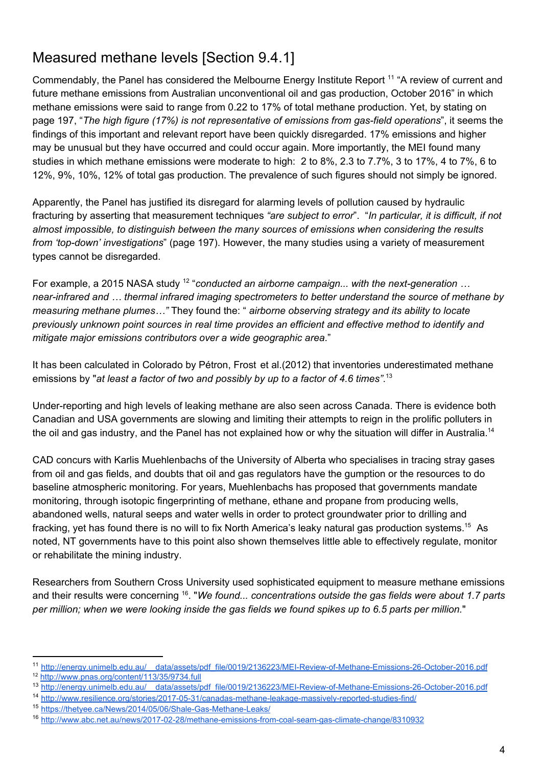# Measured methane levels [Section 9.4.1]

Commendably, the Panel has considered the Melbourne Energy Institute Report <sup>11</sup> "A review of current and future methane emissions from Australian unconventional oil and gas production, October 2016" in which methane emissions were said to range from 0.22 to 17% of total methane production. Yet, by stating on page 197, "*The high figure (17%) is not representative of emissions from gas-field operations*", it seems the findings of this important and relevant report have been quickly disregarded. 17% emissions and higher may be unusual but they have occurred and could occur again. More importantly, the MEI found many studies in which methane emissions were moderate to high: 2 to 8%, 2.3 to 7.7%, 3 to 17%, 4 to 7%, 6 to 12%, 9%, 10%, 12% of total gas production. The prevalence of such figures should not simply be ignored.

Apparently, the Panel has justified its disregard for alarming levels of pollution caused by hydraulic fracturing by asserting that measurement techniques *"are subject to error*". "*In particular, it is difficult, if not almost impossible, to distinguish between the many sources of emissions when considering the results from 'top-down' investigations*" (page 197). However, the many studies using a variety of measurement types cannot be disregarded.

For example, a 2015 NASA study <sup>12</sup> "conducted an airborne campaign... with the next-generation ... *near-infrared and … thermal infrared imaging spectrometers to better understand the source of methane by measuring methane plumes…"* They found the: " *airborne observing strategy and its ability to locate previously unknown point sources in real time provides an efficient and effective method to identify and mitigate major emissions contributors over a wide geographic area*."

It has been calculated in Colorado by Pétron, Frost et al.(2012) that inventories underestimated methane emissions by "*at least a factor of two and possibly by up to a factor of 4.6 times"*. 13

Under-reporting and high levels of leaking methane are also seen across Canada. There is evidence both Canadian and USA governments are slowing and limiting their attempts to reign in the prolific polluters in the oil and gas industry, and the Panel has not explained how or why the situation will differ in Australia.<sup>14</sup>

CAD concurs with Karlis Muehlenbachs of the University of Alberta who specialises in tracing stray gases from oil and gas fields, and doubts that oil and gas regulators have the gumption or the resources to do baseline atmospheric monitoring. For years, Muehlenbachs has proposed that governments mandate monitoring, through isotopic fingerprinting of methane, ethane and propane from producing wells, abandoned wells, natural seeps and water wells in order to protect groundwater prior to drilling and fracking, yet has found there is no will to fix North America's leaky natural gas production systems.<sup>15</sup> As noted, NT governments have to this point also shown themselves little able to effectively regulate, monitor or rehabilitate the mining industry.

Researchers from Southern Cross University used sophisticated equipment to measure methane emissions and their results were concerning <sup>16</sup>. "We found... concentrations outside the gas fields were about 1.7 parts per million; when we were looking inside the gas fields we found spikes up to 6.5 parts per million."

<sup>11</sup> [http://energy.unimelb.edu.au/\\_\\_data/assets/pdf\\_file/0019/2136223/MEI-Review-of-Methane-Emissions-26-October-2016.pdf](http://energy.unimelb.edu.au/__data/assets/pdf_file/0019/2136223/MEI-Review-of-Methane-Emissions-26-October-2016.pdf)

<sup>&</sup>lt;sup>12</sup> <http://www.pnas.org/content/113/35/9734.full>

<sup>13</sup> [http://energy.unimelb.edu.au/\\_\\_data/assets/pdf\\_file/0019/2136223/MEI-Review-of-Methane-Emissions-26-October-2016.pdf](http://energy.unimelb.edu.au/__data/assets/pdf_file/0019/2136223/MEI-Review-of-Methane-Emissions-26-October-2016.pdf)

<sup>14</sup> <http://www.resilience.org/stories/2017-05-31/canadas-methane-leakage-massively-reported-studies-find/>

<sup>15</sup> <https://thetyee.ca/News/2014/05/06/Shale-Gas-Methane-Leaks/>

<sup>16</sup> <http://www.abc.net.au/news/2017-02-28/methane-emissions-from-coal-seam-gas-climate-change/8310932>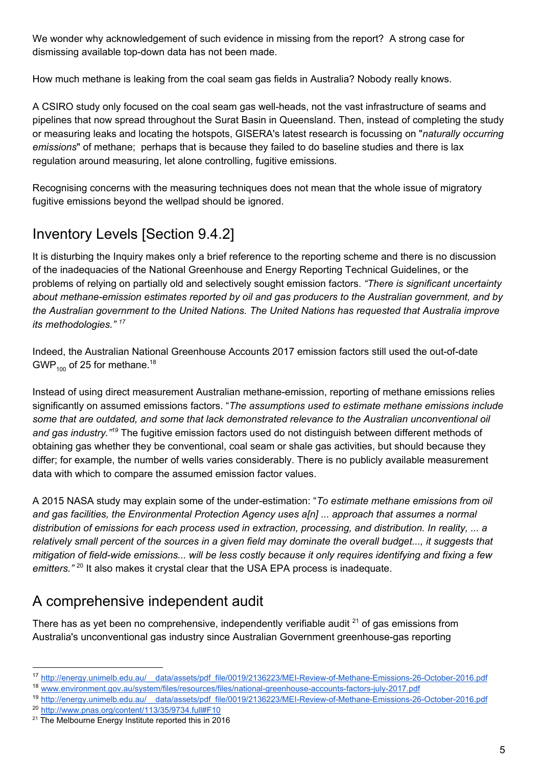We wonder why acknowledgement of such evidence in missing from the report? A strong case for dismissing available top-down data has not been made.

How much methane is leaking from the coal seam gas fields in Australia? Nobody really knows.

A CSIRO study only focused on the coal seam gas well-heads, not the vast infrastructure of seams and pipelines that now spread throughout the Surat Basin in Queensland. Then, instead of completing the study or measuring leaks and locating the hotspots, GISERA's latest research is focussing on "*naturally occurring emissions*" of methane; perhaps that is because they failed to do baseline studies and there is lax regulation around measuring, let alone controlling, fugitive emissions.

Recognising concerns with the measuring techniques does not mean that the whole issue of migratory fugitive emissions beyond the wellpad should be ignored.

# Inventory Levels [Section 9.4.2]

It is disturbing the Inquiry makes only a brief reference to the reporting scheme and there is no discussion of the inadequacies of the National Greenhouse and Energy Reporting Technical Guidelines, or the problems of relying on partially old and selectively sought emission factors. *"There is significant uncertainty about methane-emission estimates reported by oil and gas producers to the Australian government, and by the Australian government to the United Nations. The United Nations has requested that Australia improve its methodologies." <sup>17</sup>*

Indeed, the Australian National Greenhouse Accounts 2017 emission factors still used the out-of-date GWP<sub>100</sub> of 25 for methane.<sup>18</sup>

Instead of using direct measurement Australian methane-emission, reporting of methane emissions relies significantly on assumed emissions factors. "*The assumptions used to estimate methane emissions include some that are outdated, and some that lack demonstrated relevance to the Australian unconventional oil*  and gas industry.<sup>"19</sup> The fugitive emission factors used do not distinguish between different methods of obtaining gas whether they be conventional, coal seam or shale gas activities, but should because they differ; for example, the number of wells varies considerably. There is no publicly available measurement data with which to compare the assumed emission factor values.

A 2015 NASA study may explain some of the under-estimation: "*To estimate methane emissions from oil and gas facilities, the Environmental Protection Agency uses a[n] ... approach that assumes a normal distribution of emissions for each process used in extraction, processing, and distribution. In reality, ... a*  relatively small percent of the sources in a given field may dominate the overall budget..., it suggests that *mitigation of field-wide emissions... will be less costly because it only requires identifying and fixing a few emitters."* <sup>20</sup> It also makes it crystal clear that the USA EPA process is inadequate.

# A comprehensive independent audit

There has as yet been no comprehensive, independently verifiable audit  $21$  of gas emissions from Australia's unconventional gas industry since Australian Government greenhouse-gas reporting

<sup>17</sup> [http://energy.unimelb.edu.au/\\_\\_data/assets/pdf\\_file/0019/2136223/MEI-Review-of-Methane-Emissions-26-October-2016.pdf](http://energy.unimelb.edu.au/__data/assets/pdf_file/0019/2136223/MEI-Review-of-Methane-Emissions-26-October-2016.pdf)

<sup>18</sup> [www.environment.gov.au/system/files/resources/files/national-greenhouse-accounts-factors-july-2017.pdf](https://www.environment.gov.au/system/files/resources/5a169bfb-f417-4b00-9b70-6ba328ea8671/files/national-greenhouse-accounts-factors-july-2017.pdf)

<sup>19</sup> [http://energy.unimelb.edu.au/\\_\\_data/assets/pdf\\_file/0019/2136223/MEI-Review-of-Methane-Emissions-26-October-2016.pdf](http://energy.unimelb.edu.au/__data/assets/pdf_file/0019/2136223/MEI-Review-of-Methane-Emissions-26-October-2016.pdf) <sup>20</sup> <http://www.pnas.org/content/113/35/9734.full#F10>

<sup>&</sup>lt;sup>21</sup> The Melbourne Energy Institute reported this in 2016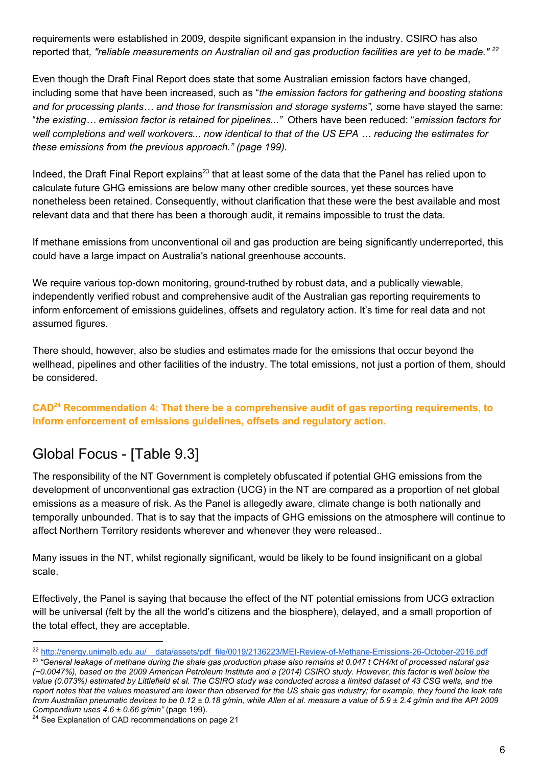requirements were established in 2009, despite significant expansion in the industry. CSIRO has also reported that*, "reliable measurements on Australian oil and gas production facilities are yet to be made." 22*

Even though the Draft Final Report does state that some Australian emission factors have changed, including some that have been increased, such as "*the emission factors for gathering and boosting stations and for processing plants… and those for transmission and storage systems", s*ome have stayed the same: "*the existing… emission factor is retained for pipelines..."* Others have been reduced: "*emission factors for* well completions and well workovers... now identical to that of the US EPA ... reducing the estimates for *these emissions from the previous approach." (page 199).*

Indeed, the Draft Final Report explains<sup>23</sup> that at least some of the data that the Panel has relied upon to calculate future GHG emissions are below many other credible sources, yet these sources have nonetheless been retained. Consequently, without clarification that these were the best available and most relevant data and that there has been a thorough audit, it remains impossible to trust the data.

If methane emissions from unconventional oil and gas production are being significantly underreported, this could have a large impact on Australia's national greenhouse accounts.

We require various top-down monitoring, ground-truthed by robust data, and a publically viewable, independently verified robust and comprehensive audit of the Australian gas reporting requirements to inform enforcement of emissions guidelines, offsets and regulatory action. It's time for real data and not assumed figures.

There should, however, also be studies and estimates made for the emissions that occur beyond the wellhead, pipelines and other facilities of the industry. The total emissions, not just a portion of them, should be considered.

#### **CAD Recommendation 4: That there be a comprehensive audit of gas reporting requirements, to 24 inform enforcement of emissions guidelines, offsets and regulatory action.**

#### Global Focus - [Table 9.3]

The responsibility of the NT Government is completely obfuscated if potential GHG emissions from the development of unconventional gas extraction (UCG) in the NT are compared as a proportion of net global emissions as a measure of risk. As the Panel is allegedly aware, climate change is both nationally and temporally unbounded. That is to say that the impacts of GHG emissions on the atmosphere will continue to affect Northern Territory residents wherever and whenever they were released..

Many issues in the NT, whilst regionally significant, would be likely to be found insignificant on a global scale.

Effectively, the Panel is saying that because the effect of the NT potential emissions from UCG extraction will be universal (felt by the all the world's citizens and the biosphere), delayed, and a small proportion of the total effect, they are acceptable.

<sup>&</sup>lt;sup>22</sup> http://energy.unimelb.edu.au/ data/assets/pdf file/0019/2136223/MEI-Review-of-Methane-Emissions-26-October-2016.pdf

<sup>23</sup> *"General leakage of methane during the shale gas production phase also remains at 0.047 t CH4/kt of processed natural gas (~0.0047%), based on the 2009 American Petroleum Institute and a (2014) CSIRO study. However, this factor is well below the value (0.073%) estimated by Littlefield et al. The CSIRO study was conducted across a limited dataset of 43 CSG wells, and the report notes that the values measured are lower than observed for the US shale gas industry; for example, they found the leak rate from Australian pneumatic devices to be 0.12 ± 0.18 g/min, while Allen et al. measure a value of 5.9 ± 2.4 g/min and the API 2009 Compendium uses 4.6 ± 0.66 g/min"* (page 199).

<sup>&</sup>lt;sup>24</sup> See Explanation of CAD recommendations on page 21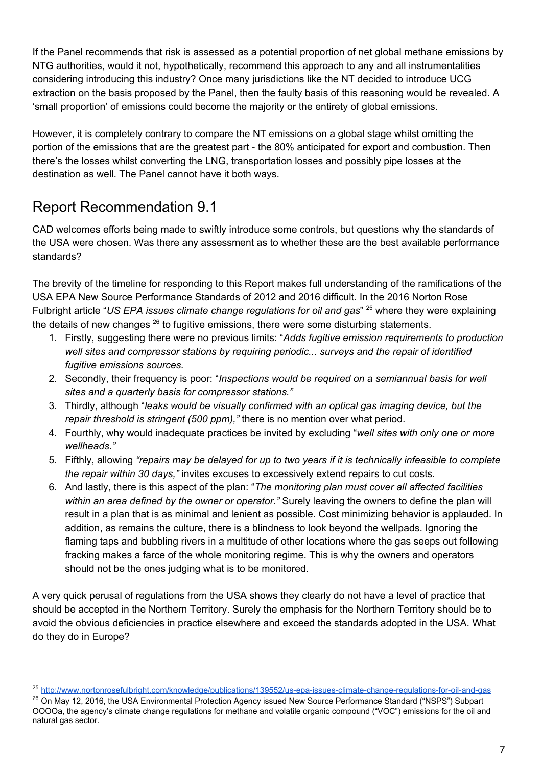If the Panel recommends that risk is assessed as a potential proportion of net global methane emissions by NTG authorities, would it not, hypothetically, recommend this approach to any and all instrumentalities considering introducing this industry? Once many jurisdictions like the NT decided to introduce UCG extraction on the basis proposed by the Panel, then the faulty basis of this reasoning would be revealed. A 'small proportion' of emissions could become the majority or the entirety of global emissions.

However, it is completely contrary to compare the NT emissions on a global stage whilst omitting the portion of the emissions that are the greatest part - the 80% anticipated for export and combustion. Then there's the losses whilst converting the LNG, transportation losses and possibly pipe losses at the destination as well. The Panel cannot have it both ways.

# Report Recommendation 9.1

CAD welcomes efforts being made to swiftly introduce some controls, but questions why the standards of the USA were chosen. Was there any assessment as to whether these are the best available performance standards?

The brevity of the timeline for responding to this Report makes full understanding of the ramifications of the USA EPA New Source Performance Standards of 2012 and 2016 difficult. In the 2016 Norton Rose Fulbright article "*US EPA issues climate change regulations for oil and gas*" where they were explaining 25 the details of new changes  $26$  to fugitive emissions, there were some disturbing statements.

- 1. Firstly, suggesting there were no previous limits: "*Adds fugitive emission requirements to production well sites and compressor stations by requiring periodic... surveys and the repair of identified fugitive emissions sources.*
- 2. Secondly, their frequency is poor: "*Inspections would be required on a semiannual basis for well sites and a quarterly basis for compressor stations."*
- 3. Thirdly, although "*leaks would be visually confirmed with an optical gas imaging device, but the repair threshold is stringent (500 ppm),"* there is no mention over what period.
- 4. Fourthly, why would inadequate practices be invited by excluding "*well sites with only one or more wellheads."*
- 5. Fifthly, allowing *"repairs may be delayed for up to two years if it is technically infeasible to complete the repair within 30 days,"* invites excuses to excessively extend repairs to cut costs.
- 6. And lastly, there is this aspect of the plan: "*The monitoring plan must cover all affected facilities within an area defined by the owner or operator."* Surely leaving the owners to define the plan will result in a plan that is as minimal and lenient as possible. Cost minimizing behavior is applauded. In addition, as remains the culture, there is a blindness to look beyond the wellpads. Ignoring the flaming taps and bubbling rivers in a multitude of other locations where the gas seeps out following fracking makes a farce of the whole monitoring regime. This is why the owners and operators should not be the ones judging what is to be monitored.

A very quick perusal of regulations from the USA shows they clearly do not have a level of practice that should be accepted in the Northern Territory. Surely the emphasis for the Northern Territory should be to avoid the obvious deficiencies in practice elsewhere and exceed the standards adopted in the USA. What do they do in Europe?

<sup>25</sup> <http://www.nortonrosefulbright.com/knowledge/publications/139552/us-epa-issues-climate-change-regulations-for-oil-and-gas>

<sup>&</sup>lt;sup>26</sup> On May 12, 2016, the USA Environmental Protection Agency issued New Source Performance Standard ("NSPS") Subpart OOOOa, the agency's climate change regulations for methane and volatile organic compound ("VOC") emissions for the oil and natural gas sector.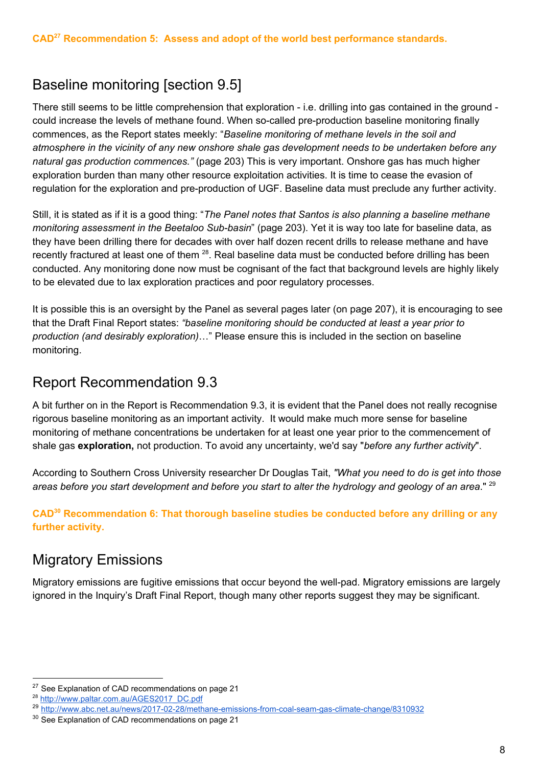# Baseline monitoring [section 9.5]

There still seems to be little comprehension that exploration - i.e. drilling into gas contained in the ground could increase the levels of methane found. When so-called pre-production baseline monitoring finally commences, as the Report states meekly: "*Baseline monitoring of methane levels in the soil and atmosphere in the vicinity of any new onshore shale gas development needs to be undertaken before any natural gas production commences."* (page 203) This is very important. Onshore gas has much higher exploration burden than many other resource exploitation activities. It is time to cease the evasion of regulation for the exploration and pre-production of UGF. Baseline data must preclude any further activity.

Still, it is stated as if it is a good thing: "*The Panel notes that Santos is also planning a baseline methane monitoring assessment in the Beetaloo Sub-basin*" (page 203). Yet it is way too late for baseline data, as they have been drilling there for decades with over half dozen recent drills to release methane and have recently fractured at least one of them  $^{28}$ . Real baseline data must be conducted before drilling has been conducted. Any monitoring done now must be cognisant of the fact that background levels are highly likely to be elevated due to lax exploration practices and poor regulatory processes.

It is possible this is an oversight by the Panel as several pages later (on page 207), it is encouraging to see that the Draft Final Report states: *"baseline monitoring should be conducted at least a year prior to production (and desirably exploration)*…" Please ensure this is included in the section on baseline monitoring.

#### Report Recommendation 9.3

A bit further on in the Report is Recommendation 9.3, it is evident that the Panel does not really recognise rigorous baseline monitoring as an important activity. It would make much more sense for baseline monitoring of methane concentrations be undertaken for at least one year prior to the commencement of shale gas **exploration,** not production. To avoid any uncertainty, we'd say "*before any further activity*".

According to Southern Cross University researcher Dr Douglas Tait, *"What you need to do is get into those* areas before you start development and before you start to alter the hydrology and geology of an area." <sup>29</sup>

**CAD Recommendation 6: That thorough baseline studies be conducted before any drilling or any 30 further activity.**

#### Migratory Emissions

Migratory emissions are fugitive emissions that occur beyond the well-pad. Migratory emissions are largely ignored in the Inquiry's Draft Final Report, though many other reports suggest they may be significant.

 $27$  See Explanation of CAD recommendations on page 21

<sup>&</sup>lt;sup>28</sup> [http://www.paltar.com.au/AGES2017\\_DC.pdf](http://www.paltar.com.au/AGES2017_DC.pdf)

<sup>&</sup>lt;sup>29</sup> <http://www.abc.net.au/news/2017-02-28/methane-emissions-from-coal-seam-gas-climate-change/8310932>

<sup>&</sup>lt;sup>30</sup> See Explanation of CAD recommendations on page 21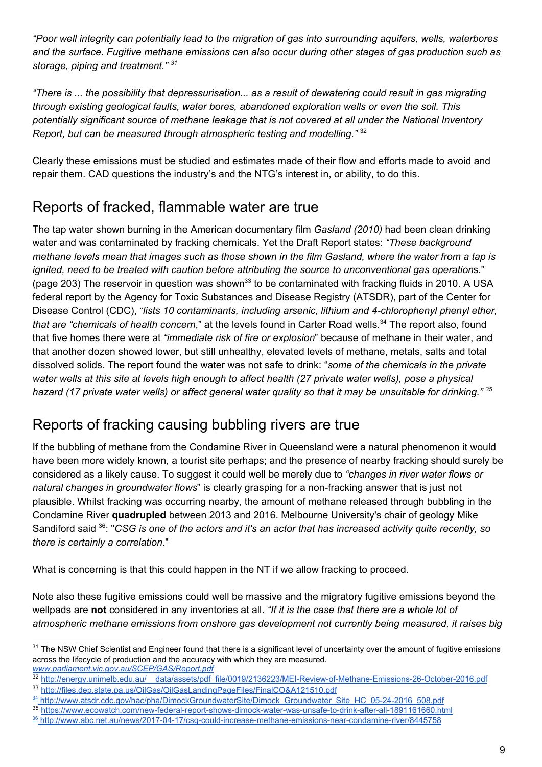*"Poor well integrity can potentially lead to the migration of gas into surrounding aquifers, wells, waterbores and the surface. Fugitive methane emissions can also occur during other stages of gas production such as storage, piping and treatment." <sup>31</sup>*

*"There is ... the possibility that depressurisation... as a result of dewatering could result in gas migrating through existing geological faults, water bores, abandoned exploration wells or even the soil. This potentially significant source of methane leakage that is not covered at all under the National Inventory Report, but can be measured through atmospheric testing and modelling."* <sup>32</sup>

Clearly these emissions must be studied and estimates made of their flow and efforts made to avoid and repair them. CAD questions the industry's and the NTG's interest in, or ability, to do this.

#### Reports of fracked, flammable water are true

The tap water shown burning in the American documentary film *Gasland (2010)* had been clean drinking water and was contaminated by fracking chemicals. Yet the Draft Report states: *"These background methane levels mean that images such as those shown in the film Gasland, where the water from a tap is ignited, need to be treated with caution before attributing the source to unconventional gas operation*s." (page 203) The reservoir in question was shown<sup>33</sup> to be contaminated with fracking fluids in 2010. A USA federal report by the Agency for Toxic Substances and Disease Registry (ATSDR), part of the Center for Disease Control (CDC), "*lists 10 contaminants, including arsenic, lithium and 4-chlorophenyl phenyl ether, that are "chemicals of health concern*," at the levels found in Carter Road wells.<sup>34</sup> The report also, found that five homes there were at *"immediate risk of fire or explosion*" because of methane in their water, and that another dozen showed lower, but still unhealthy, elevated levels of methane, metals, salts and total dissolved solids. The report found the water was not safe to drink: "*some of the chemicals in the private*  water wells at this site at levels high enough to affect health (27 private water wells), pose a physical *hazard (17 private water wells) or affect general water quality so that it may be unsuitable for drinking." <sup>35</sup>*

#### Reports of fracking causing bubbling rivers are true

If the bubbling of methane from the Condamine River in Queensland were a natural phenomenon it would have been more widely known, a tourist site perhaps; and the presence of nearby fracking should surely be considered as a likely cause. To suggest it could well be merely due to *"changes in river water flows or natural changes in groundwater flows*" is clearly grasping for a non-fracking answer that is just not plausible. Whilst fracking was occurring nearby, the amount of methane released through bubbling in the Condamine River **quadrupled** between 2013 and 2016. Melbourne University's chair of geology Mike Sandiford said <sup>36</sup>: "CSG is one of the actors and it's an actor that has increased activity quite recently, so *there is certainly a correlation*."

What is concerning is that this could happen in the NT if we allow fracking to proceed.

Note also these fugitive emissions could well be massive and the migratory fugitive emissions beyond the wellpads are **not** considered in any inventories at all. *"If it is the case that there are a whole lot of atmospheric methane emissions from onshore gas development not currently being measured, it raises big* 

 $31$  The NSW Chief Scientist and Engineer found that there is a significant level of uncertainty over the amount of fugitive emissions across the lifecycle of production and the accuracy with which they are measured. *[www.parliament.vic.gov.au/SCEP/GAS/Report.pdf](https://www.parliament.vic.gov.au/images/stories/committees/SCEP/GAS/Report/EPC_58-03_Text_WEB.pdf)*

<sup>32</sup> http://energy.unimelb.edu.au/ data/assets/pdf\_file/0019/2136223/MEI-Review-of-Methane-Emissions-26-October-2016.pdf 33 <http://files.dep.state.pa.us/OilGas/OilGasLandingPageFiles/FinalCO&A121510.pdf>

<sup>34</sup> http://www.atsdr.cdc.gov/hac/pha/DimockGroundwaterSite/Dimock Groundwater Site HC\_05-24-2016\_508.pdf

<sup>35</sup> <https://www.ecowatch.com/new-federal-report-shows-dimock-water-was-unsafe-to-drink-after-all-1891161660.html>

<sup>36</sup><http://www.abc.net.au/news/2017-04-17/csg-could-increase-methane-emissions-near-condamine-river/8445758>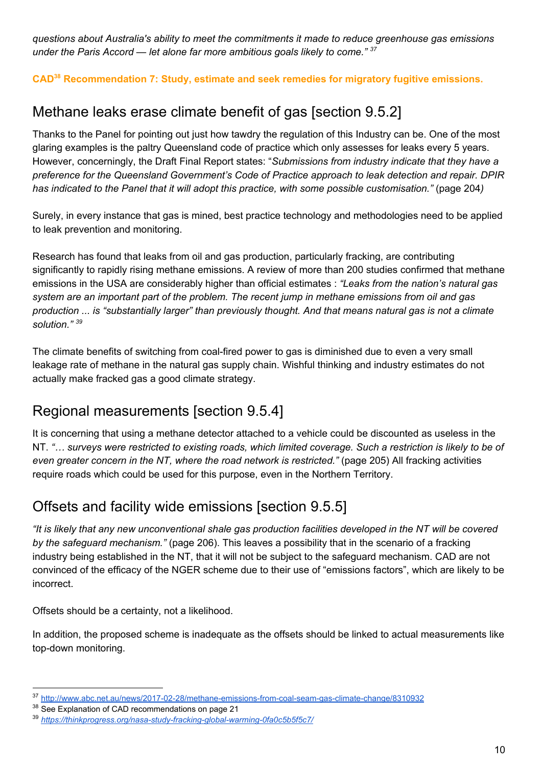*questions about Australia's ability to meet the commitments it made to reduce greenhouse gas emissions under the Paris Accord — let alone far more ambitious goals likely to come." 37*

**CAD Recommendation 7: Study, estimate and seek remedies for migratory fugitive emissions. 38**

# Methane leaks erase climate benefit of gas [section 9.5.2]

Thanks to the Panel for pointing out just how tawdry the regulation of this Industry can be. One of the most glaring examples is the paltry Queensland code of practice which only assesses for leaks every 5 years. However, concerningly, the Draft Final Report states: "*Submissions from industry indicate that they have a preference for the Queensland Government's Code of Practice approach to leak detection and repair. DPIR has indicated to the Panel that it will adopt this practice, with some possible customisation."* (page 204*)*

Surely, in every instance that gas is mined, best practice technology and methodologies need to be applied to leak prevention and monitoring.

Research has found that leaks from oil and gas production, particularly fracking, are contributing significantly to rapidly rising methane emissions. A review of more than 200 studies confirmed that methane emissions in the USA are considerably higher than official estimates : *"Leaks from the nation's natural gas system are an important part of the problem. The recent jump in methane emissions from oil and gas* production ... is "substantially larger" than previously thought. And that means natural gas is not a climate *solution." 39*

The climate benefits of switching from coal-fired power to gas is diminished due to even a very small leakage rate of methane in the natural gas supply chain. Wishful thinking and industry estimates do not actually make fracked gas a good climate strategy.

#### Regional measurements [section 9.5.4]

It is concerning that using a methane detector attached to a vehicle could be discounted as useless in the NT. "... surveys were restricted to existing roads, which limited coverage. Such a restriction is likely to be of *even greater concern in the NT, where the road network is restricted."* (page 205) All fracking activities require roads which could be used for this purpose, even in the Northern Territory.

#### Offsets and facility wide emissions [section 9.5.5]

"It is likely that any new unconventional shale gas production facilities developed in the NT will be covered *by the safeguard mechanism."* (page 206). This leaves a possibility that in the scenario of a fracking industry being established in the NT, that it will not be subject to the safeguard mechanism. CAD are not convinced of the efficacy of the NGER scheme due to their use of "emissions factors", which are likely to be incorrect.

Offsets should be a certainty, not a likelihood.

In addition, the proposed scheme is inadequate as the offsets should be linked to actual measurements like top-down monitoring.

<sup>37</sup> <http://www.abc.net.au/news/2017-02-28/methane-emissions-from-coal-seam-gas-climate-change/8310932>

<sup>&</sup>lt;sup>38</sup> See Explanation of CAD recommendations on page 21

<sup>39</sup> *<https://thinkprogress.org/nasa-study-fracking-global-warming-0fa0c5b5f5c7/>*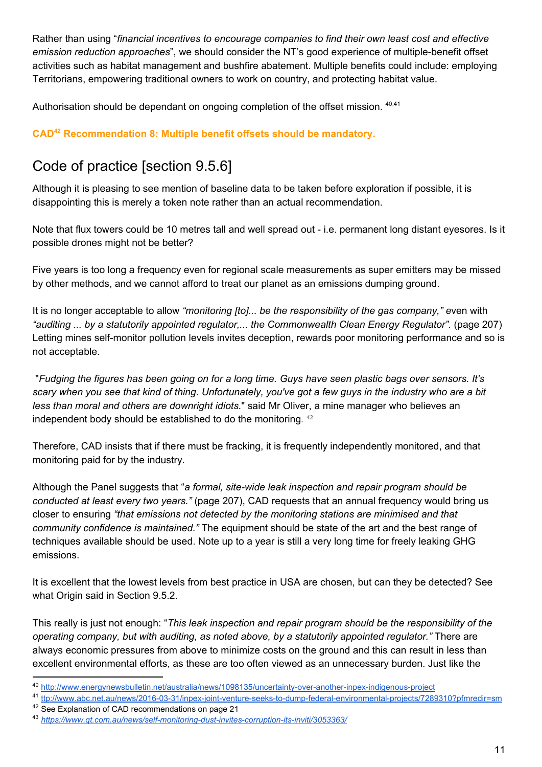Rather than using "*financial incentives to encourage companies to find their own least cost and effective emission reduction approaches*", we should consider the NT's good experience of multiple-benefit offset activities such as habitat management and bushfire abatement. Multiple benefits could include: employing Territorians, empowering traditional owners to work on country, and protecting habitat value.

Authorisation should be dependant on ongoing completion of the offset mission. 40,41

**CAD<sup>42</sup> Recommendation 8: Multiple benefit offsets should be mandatory.** 

# Code of practice [section 9.5.6]

Although it is pleasing to see mention of baseline data to be taken before exploration if possible, it is disappointing this is merely a token note rather than an actual recommendation.

Note that flux towers could be 10 metres tall and well spread out - i.e. permanent long distant eyesores. Is it possible drones might not be better?

Five years is too long a frequency even for regional scale measurements as super emitters may be missed by other methods, and we cannot afford to treat our planet as an emissions dumping ground.

It is no longer acceptable to allow *"monitoring [to]... be the responsibility of the gas company," e*ven with *"auditing ... by a statutorily appointed regulator,... the Commonwealth Clean Energy Regulator".* (page 207) Letting mines self-monitor pollution levels invites deception, rewards poor monitoring performance and so is not acceptable.

"Fudging the figures has been going on for a long time. Guys have seen plastic bags over sensors. It's scary when you see that kind of thing. Unfortunately, you've got a few guys in the industry who are a bit *less than moral and others are downright idiots.*" said Mr Oliver, a mine manager who believes an independent body should be established to do the monitoring*. 43*

Therefore, CAD insists that if there must be fracking, it is frequently independently monitored, and that monitoring paid for by the industry.

Although the Panel suggests that "*a formal, site-wide leak inspection and repair program should be conducted at least every two years."* (page 207), CAD requests that an annual frequency would bring us closer to ensuring *"that emissions not detected by the monitoring stations are minimised and that community confidence is maintained."* The equipment should be state of the art and the best range of techniques available should be used. Note up to a year is still a very long time for freely leaking GHG emissions.

It is excellent that the lowest levels from best practice in USA are chosen, but can they be detected? See what Origin said in Section 9.5.2.

This really is just not enough: "*This leak inspection and repair program should be the responsibility of the operating company, but with auditing, as noted above, by a statutorily appointed regulator."* There are always economic pressures from above to minimize costs on the ground and this can result in less than excellent environmental efforts, as these are too often viewed as an unnecessary burden. Just like the

<sup>40</sup> <http://www.energynewsbulletin.net/australia/news/1098135/uncertainty-over-another-inpex-indigenous-project>

<sup>41</sup> [ttp://www.abc.net.au/news/2016-03-31/inpex-joint-venture-seeks-to-dump-federal-environmental-projects/7289310?pfmredir=sm](http://www.abc.net.au/news/2016-03-31/inpex-joint-venture-seeks-to-dump-federal-environmental-projects/7289310?pfmredir=sm) <sup>42</sup> See Explanation of CAD recommendations on page 21

<sup>43</sup> *<https://www.qt.com.au/news/self-monitoring-dust-invites-corruption-its-inviti/3053363/>*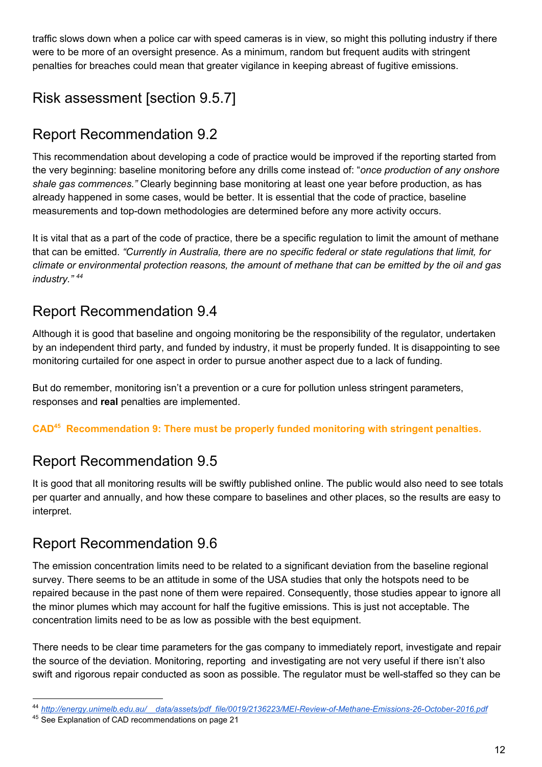traffic slows down when a police car with speed cameras is in view, so might this polluting industry if there were to be more of an oversight presence. As a minimum, random but frequent audits with stringent penalties for breaches could mean that greater vigilance in keeping abreast of fugitive emissions.

# Risk assessment [section 9.5.7]

#### Report Recommendation 9.2

This recommendation about developing a code of practice would be improved if the reporting started from the very beginning: baseline monitoring before any drills come instead of: "*once production of any onshore shale gas commences."* Clearly beginning base monitoring at least one year before production, as has already happened in some cases, would be better. It is essential that the code of practice, baseline measurements and top-down methodologies are determined before any more activity occurs.

It is vital that as a part of the code of practice, there be a specific regulation to limit the amount of methane that can be emitted. *"Currently in Australia, there are no specific federal or state regulations that limit, for climate or environmental protection reasons, the amount of methane that can be emitted by the oil and gas industry." <sup>44</sup>*

#### Report Recommendation 9.4

Although it is good that baseline and ongoing monitoring be the responsibility of the regulator, undertaken by an independent third party, and funded by industry, it must be properly funded. It is disappointing to see monitoring curtailed for one aspect in order to pursue another aspect due to a lack of funding.

But do remember, monitoring isn't a prevention or a cure for pollution unless stringent parameters, responses and **real** penalties are implemented.

CAD<sup>45</sup> Recommendation 9: There must be properly funded monitoring with stringent penalties.

#### Report Recommendation 9.5

It is good that all monitoring results will be swiftly published online. The public would also need to see totals per quarter and annually, and how these compare to baselines and other places, so the results are easy to interpret.

#### Report Recommendation 9.6

The emission concentration limits need to be related to a significant deviation from the baseline regional survey. There seems to be an attitude in some of the USA studies that only the hotspots need to be repaired because in the past none of them were repaired. Consequently, those studies appear to ignore all the minor plumes which may account for half the fugitive emissions. This is just not acceptable. The concentration limits need to be as low as possible with the best equipment.

There needs to be clear time parameters for the gas company to immediately report, investigate and repair the source of the deviation. Monitoring, reporting and investigating are not very useful if there isn't also swift and rigorous repair conducted as soon as possible. The regulator must be well-staffed so they can be

<sup>44</sup> *[http://energy.unimelb.edu.au/\\_\\_data/assets/pdf\\_file/0019/2136223/MEI-Review-of-Methane-Emissions-26-October-2016.pdf](http://energy.unimelb.edu.au/__data/assets/pdf_file/0019/2136223/MEI-Review-of-Methane-Emissions-26-October-2016.pdf)*

<sup>&</sup>lt;sup>45</sup> See Explanation of CAD recommendations on page 21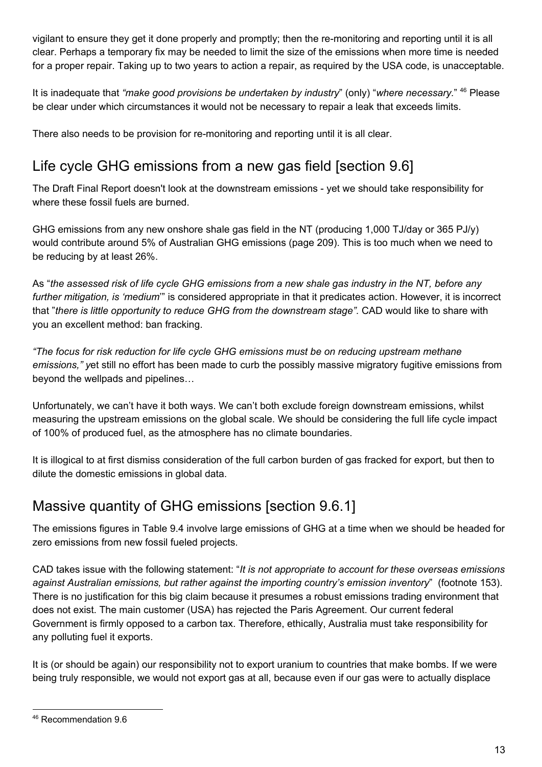vigilant to ensure they get it done properly and promptly; then the re-monitoring and reporting until it is all clear. Perhaps a temporary fix may be needed to limit the size of the emissions when more time is needed for a proper repair. Taking up to two years to action a repair, as required by the USA code, is unacceptable.

It is inadequate that "make good provisions be undertaken by industry" (only) "where necessary." <sup>46</sup> Please be clear under which circumstances it would not be necessary to repair a leak that exceeds limits.

There also needs to be provision for re-monitoring and reporting until it is all clear.

# Life cycle GHG emissions from a new gas field [section 9.6]

The Draft Final Report doesn't look at the downstream emissions - yet we should take responsibility for where these fossil fuels are burned.

GHG emissions from any new onshore shale gas field in the NT (producing 1,000 TJ/day or 365 PJ/y) would contribute around 5% of Australian GHG emissions (page 209). This is too much when we need to be reducing by at least 26%.

As "the assessed risk of life cycle GHG emissions from a new shale gas industry in the NT, before any *further mitigation, is 'medium*'" is considered appropriate in that it predicates action. However, it is incorrect that "*there is little opportunity to reduce GHG from the downstream stage".* CAD would like to share with you an excellent method: ban fracking.

*"The focus for risk reduction for life cycle GHG emissions must be on reducing upstream methane emissions," y*et still no effort has been made to curb the possibly massive migratory fugitive emissions from beyond the wellpads and pipelines…

Unfortunately, we can't have it both ways. We can't both exclude foreign downstream emissions, whilst measuring the upstream emissions on the global scale. We should be considering the full life cycle impact of 100% of produced fuel, as the atmosphere has no climate boundaries.

It is illogical to at first dismiss consideration of the full carbon burden of gas fracked for export, but then to dilute the domestic emissions in global data.

#### Massive quantity of GHG emissions [section 9.6.1]

The emissions figures in Table 9.4 involve large emissions of GHG at a time when we should be headed for zero emissions from new fossil fueled projects.

CAD takes issue with the following statement: "*It is not appropriate to account for these overseas emissions against Australian emissions, but rather against the importing country's emission inventory*" (footnote 153). There is no justification for this big claim because it presumes a robust emissions trading environment that does not exist. The main customer (USA) has rejected the Paris Agreement. Our current federal Government is firmly opposed to a carbon tax. Therefore, ethically, Australia must take responsibility for any polluting fuel it exports.

It is (or should be again) our responsibility not to export uranium to countries that make bombs. If we were being truly responsible, we would not export gas at all, because even if our gas were to actually displace

<sup>46</sup> Recommendation 9.6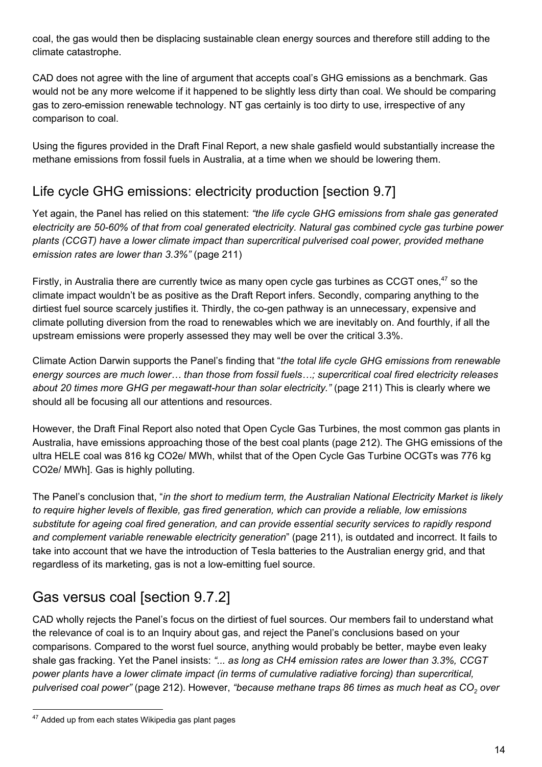coal, the gas would then be displacing sustainable clean energy sources and therefore still adding to the climate catastrophe.

CAD does not agree with the line of argument that accepts coal's GHG emissions as a benchmark. Gas would not be any more welcome if it happened to be slightly less dirty than coal. We should be comparing gas to zero-emission renewable technology. NT gas certainly is too dirty to use, irrespective of any comparison to coal.

Using the figures provided in the Draft Final Report, a new shale gasfield would substantially increase the methane emissions from fossil fuels in Australia, at a time when we should be lowering them.

#### Life cycle GHG emissions: electricity production [section 9.7]

Yet again, the Panel has relied on this statement: *"the life cycle GHG emissions from shale gas generated electricity are 50-60% of that from coal generated electricity. Natural gas combined cycle gas turbine power plants (CCGT) have a lower climate impact than supercritical pulverised coal power, provided methane emission rates are lower than 3.3%"* (page 211)

Firstly, in Australia there are currently twice as many open cycle gas turbines as CCGT ones, $47$  so the climate impact wouldn't be as positive as the Draft Report infers. Secondly, comparing anything to the dirtiest fuel source scarcely justifies it. Thirdly, the co-gen pathway is an unnecessary, expensive and climate polluting diversion from the road to renewables which we are inevitably on. And fourthly, if all the upstream emissions were properly assessed they may well be over the critical 3.3%.

Climate Action Darwin supports the Panel's finding that "*the total life cycle GHG emissions from renewable energy sources are much lower… than those from fossil fuels…; supercritical coal fired electricity releases about 20 times more GHG per megawatt-hour than solar electricity."* (page 211) This is clearly where we should all be focusing all our attentions and resources.

However, the Draft Final Report also noted that Open Cycle Gas Turbines, the most common gas plants in Australia, have emissions approaching those of the best coal plants (page 212). The GHG emissions of the ultra HELE coal was 816 kg CO2e/ MWh, whilst that of the Open Cycle Gas Turbine OCGTs was 776 kg CO2e/ MWh]. Gas is highly polluting.

The Panel's conclusion that, "*in the short to medium term, the Australian National Electricity Market is likely to require higher levels of flexible, gas fired generation, which can provide a reliable, low emissions substitute for ageing coal fired generation, and can provide essential security services to rapidly respond and complement variable renewable electricity generation*" (page 211), is outdated and incorrect. It fails to take into account that we have the introduction of Tesla batteries to the Australian energy grid, and that regardless of its marketing, gas is not a low-emitting fuel source.

# Gas versus coal [section 9.7.2]

CAD wholly rejects the Panel's focus on the dirtiest of fuel sources. Our members fail to understand what the relevance of coal is to an Inquiry about gas, and reject the Panel's conclusions based on your comparisons. Compared to the worst fuel source, anything would probably be better, maybe even leaky shale gas fracking. Yet the Panel insists: *"... as long as CH4 emission rates are lower than 3.3%, CCGT power plants have a lower climate impact (in terms of cumulative radiative forcing) than supercritical, pulverised coal power"* (page 212). However, *"because methane traps 86 times as much heat as CO<sup>2</sup> over*

<sup>&</sup>lt;sup>47</sup> Added up from each states Wikipedia gas plant pages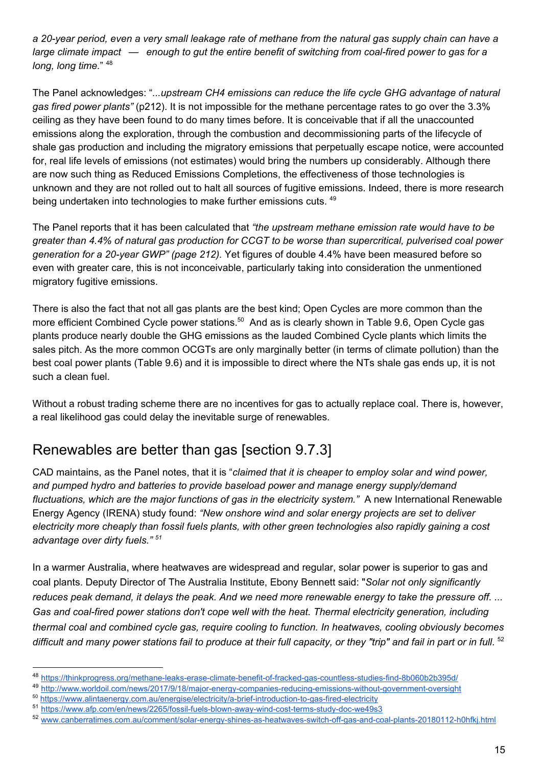*a 20-year period, even a very small leakage rate of methane from the natural gas supply chain can have a large climate impact — enough to gut the entire benefit of switching from coal-fired power to gas for a long, long time.*" <sup>48</sup>

The Panel acknowledges: "*...upstream CH4 emissions can reduce the life cycle GHG advantage of natural gas fired power plants"* (p212). It is not impossible for the methane percentage rates to go over the 3.3% ceiling as they have been found to do many times before. It is conceivable that if all the unaccounted emissions along the exploration, through the combustion and decommissioning parts of the lifecycle of shale gas production and including the migratory emissions that perpetually escape notice, were accounted for, real life levels of emissions (not estimates) would bring the numbers up considerably. Although there are now such thing as Reduced Emissions Completions, the effectiveness of those technologies is unknown and they are not rolled out to halt all sources of fugitive emissions. Indeed, there is more research being undertaken into technologies to make further emissions cuts. <sup>49</sup>

The Panel reports that it has been calculated that *"the upstream methane emission rate would have to be greater than 4.4% of natural gas production for CCGT to be worse than supercritical, pulverised coal power generation for a 20-year GWP" (page 212).* Yet figures of double 4.4% have been measured before so even with greater care, this is not inconceivable, particularly taking into consideration the unmentioned migratory fugitive emissions.

There is also the fact that not all gas plants are the best kind; Open Cycles are more common than the more efficient Combined Cycle power stations.<sup>50</sup> And as is clearly shown in Table 9.6, Open Cycle gas plants produce nearly double the GHG emissions as the lauded Combined Cycle plants which limits the sales pitch. As the more common OCGTs are only marginally better (in terms of climate pollution) than the best coal power plants (Table 9.6) and it is impossible to direct where the NTs shale gas ends up, it is not such a clean fuel.

Without a robust trading scheme there are no incentives for gas to actually replace coal. There is, however, a real likelihood gas could delay the inevitable surge of renewables.

#### Renewables are better than gas [section 9.7.3]

CAD maintains, as the Panel notes, that it is "*claimed that it is cheaper to employ solar and wind power, and pumped hydro and batteries to provide baseload power and manage energy supply/demand fluctuations, which are the major functions of gas in the electricity system."* A new International Renewable Energy Agency (IRENA) study found: *"New onshore wind and solar energy projects are set to deliver electricity more cheaply than fossil fuels plants, with other green technologies also rapidly gaining a cost advantage over dirty fuels." <sup>51</sup>*

In a warmer Australia, where heatwaves are widespread and regular, solar power is superior to gas and coal plants. Deputy Director of The Australia Institute, Ebony Bennett said: "*Solar not only significantly reduces peak demand, it delays the peak. And we need more renewable energy to take the pressure off. ... Gas and coal-fired power stations don't cope well with the heat. Thermal electricity generation, including thermal coal and combined cycle gas, require cooling to function. In heatwaves, cooling obviously becomes*  difficult and many power stations fail to produce at their full capacity, or they "trip" and fail in part or in full. <sup>52</sup>

<sup>48</sup> <https://thinkprogress.org/methane-leaks-erase-climate-benefit-of-fracked-gas-countless-studies-find-8b060b2b395d/>

<sup>49</sup> <http://www.worldoil.com/news/2017/9/18/major-energy-companies-reducing-emissions-without-government-oversight>

<sup>50</sup> <https://www.alintaenergy.com.au/energise/electricity/a-brief-introduction-to-gas-fired-electricity>

<sup>51</sup> <https://www.afp.com/en/news/2265/fossil-fuels-blown-away-wind-cost-terms-study-doc-we49s3>

<sup>52</sup> [www.canberratimes.com.au/comment/solar-energy-shines-as-heatwaves-switch-off-gas-and-coal-plants-20180112-h0hfkj.html](http://www.canberratimes.com.au/comment/solar-energy-shines-as-heatwaves-switch-off-gas-and-coal-plants-20180112-h0hfkj.html)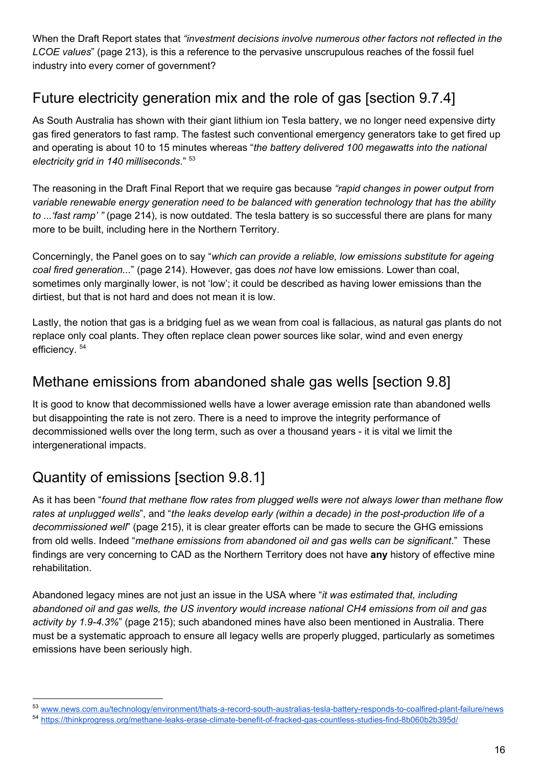When the Draft Report states that *"investment decisions involve numerous other factors not reflected in the LCOE values*" (page 213), is this a reference to the pervasive unscrupulous reaches of the fossil fuel industry into every corner of government?

# Future electricity generation mix and the role of gas [section 9.7.4]

As South Australia has shown with their giant lithium ion Tesla battery, we no longer need expensive dirty gas fired generators to fast ramp. The fastest such conventional emergency generators take to get fired up and operating is about 10 to 15 minutes whereas "*the battery delivered 100 megawatts into the national electricity grid in 140 milliseconds*." 53

The reasoning in the Draft Final Report that we require gas because *"rapid changes in power output from variable renewable energy generation need to be balanced with generation technology that has the ability to ...'fast ramp' "* (page 214), is now outdated. The tesla battery is so successful there are plans for many more to be built, including here in the Northern Territory.

Concerningly, the Panel goes on to say "*which can provide a reliable, low emissions substitute for ageing coal fired generation...*" (page 214). However, gas does *not* have low emissions. Lower than coal, sometimes only marginally lower, is not 'low'; it could be described as having lower emissions than the dirtiest, but that is not hard and does not mean it is low.

Lastly, the notion that gas is a bridging fuel as we wean from coal is fallacious, as natural gas plants do not replace only coal plants. They often replace clean power sources like solar, wind and even energy efficiency. 54

#### Methane emissions from abandoned shale gas wells [section 9.8]

It is good to know that decommissioned wells have a lower average emission rate than abandoned wells but disappointing the rate is not zero. There is a need to improve the integrity performance of decommissioned wells over the long term, such as over a thousand years - it is vital we limit the intergenerational impacts.

# Quantity of emissions [section 9.8.1]

As it has been "*found that methane flow rates from plugged wells were not always lower than methane flow* rates at unplugged wells", and "the leaks develop early (within a decade) in the post-production life of a *decommissioned well*" (page 215), it is clear greater efforts can be made to secure the GHG emissions from old wells. Indeed "*methane emissions from abandoned oil and gas wells can be significant*." These findings are very concerning to CAD as the Northern Territory does not have **any** history of effective mine rehabilitation.

Abandoned legacy mines are not just an issue in the USA where "*it was estimated that, including abandoned oil and gas wells, the US inventory would increase national CH4 emissions from oil and gas activity by 1.9-4.3%*" (page 215); such abandoned mines have also been mentioned in Australia. There must be a systematic approach to ensure all legacy wells are properly plugged, particularly as sometimes emissions have been seriously high.

<sup>53</sup> www.news.co<u>m.au/technology/environment/thats-a-record-south-australias-tesla-battery-responds-to-coalfired-plant-failure/news</u>

<sup>54</sup> <https://thinkprogress.org/methane-leaks-erase-climate-benefit-of-fracked-gas-countless-studies-find-8b060b2b395d/>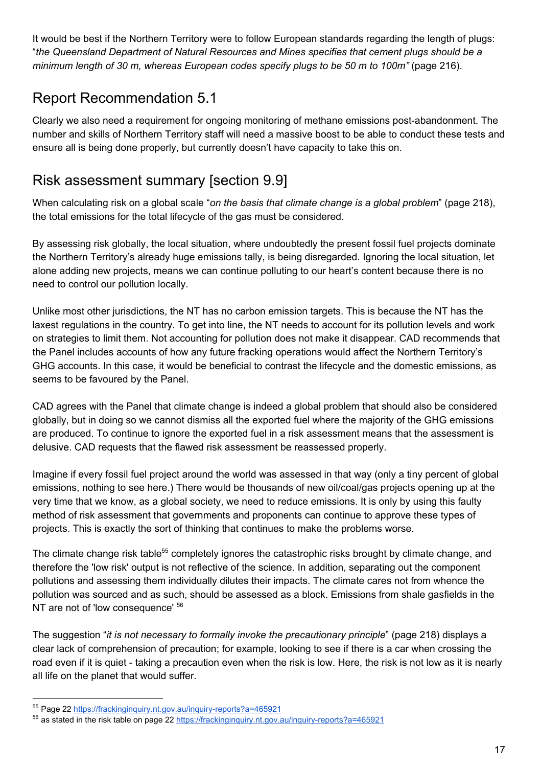It would be best if the Northern Territory were to follow European standards regarding the length of plugs: "*the Queensland Department of Natural Resources and Mines specifies that cement plugs should be a minimum length of 30 m, whereas European codes specify plugs to be 50 m to 100m"* (page 216).

#### Report Recommendation 5.1

Clearly we also need a requirement for ongoing monitoring of methane emissions post-abandonment. The number and skills of Northern Territory staff will need a massive boost to be able to conduct these tests and ensure all is being done properly, but currently doesn't have capacity to take this on.

#### Risk assessment summary [section 9.9]

When calculating risk on a global scale "*on the basis that climate change is a global problem*" (page 218), the total emissions for the total lifecycle of the gas must be considered.

By assessing risk globally, the local situation, where undoubtedly the present fossil fuel projects dominate the Northern Territory's already huge emissions tally, is being disregarded. Ignoring the local situation, let alone adding new projects, means we can continue polluting to our heart's content because there is no need to control our pollution locally.

Unlike most other jurisdictions, the NT has no carbon emission targets. This is because the NT has the laxest regulations in the country. To get into line, the NT needs to account for its pollution levels and work on strategies to limit them. Not accounting for pollution does not make it disappear. CAD recommends that the Panel includes accounts of how any future fracking operations would affect the Northern Territory's GHG accounts. In this case, it would be beneficial to contrast the lifecycle and the domestic emissions, as seems to be favoured by the Panel.

CAD agrees with the Panel that climate change is indeed a global problem that should also be considered globally, but in doing so we cannot dismiss all the exported fuel where the majority of the GHG emissions are produced. To continue to ignore the exported fuel in a risk assessment means that the assessment is delusive. CAD requests that the flawed risk assessment be reassessed properly.

Imagine if every fossil fuel project around the world was assessed in that way (only a tiny percent of global emissions, nothing to see here.) There would be thousands of new oil/coal/gas projects opening up at the very time that we know, as a global society, we need to reduce emissions. It is only by using this faulty method of risk assessment that governments and proponents can continue to approve these types of projects. This is exactly the sort of thinking that continues to make the problems worse.

The climate change risk table<sup>55</sup> completely ignores the catastrophic risks brought by climate change, and therefore the 'low risk' output is not reflective of the science. In addition, separating out the component pollutions and assessing them individually dilutes their impacts. The climate cares not from whence the pollution was sourced and as such, should be assessed as a block. Emissions from shale gasfields in the NT are not of 'low consequence' 56

The suggestion "*it is not necessary to formally invoke the precautionary principle*" (page 218) displays a clear lack of comprehension of precaution; for example, looking to see if there is a car when crossing the road even if it is quiet - taking a precaution even when the risk is low. Here, the risk is not low as it is nearly all life on the planet that would suffer.

<sup>55</sup> Page 22<https://frackinginquiry.nt.gov.au/inquiry-reports?a=465921>

<sup>&</sup>lt;sup>56</sup> as stated in the risk table on page 22 <https://frackinginquiry.nt.gov.au/inquiry-reports?a=465921>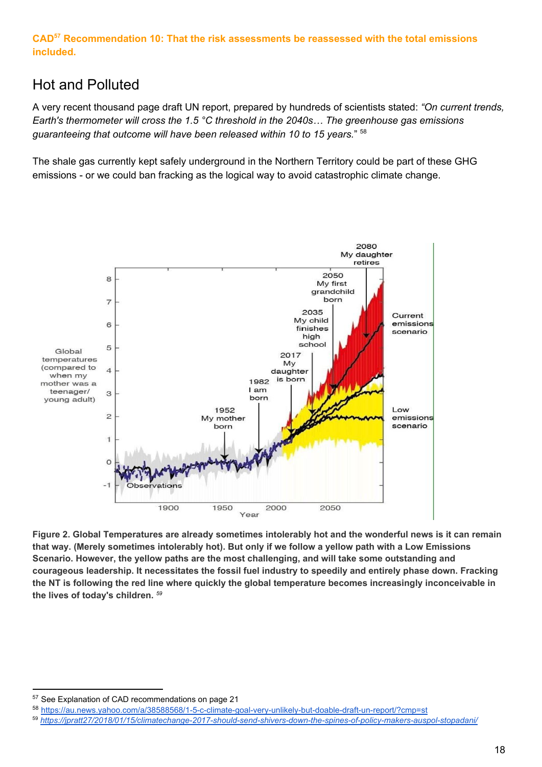**CAD Recommendation 10: That the risk assessments be reassessed with the total emissions 57 included.**

#### Hot and Polluted

A very recent thousand page draft UN report, prepared by hundreds of scientists stated: *"On current trends, Earth's thermometer will cross the 1.5 °C threshold in the 2040s… The greenhouse gas emissions guaranteeing that outcome will have been released within 10 to 15 years.*" 58

The shale gas currently kept safely underground in the Northern Territory could be part of these GHG emissions - or we could ban fracking as the logical way to avoid catastrophic climate change.



Figure 2. Global Temperatures are already sometimes intolerably hot and the wonderful news is it can remain that way. (Merely sometimes intolerably hot). But only if we follow a yellow path with a Low Emissions **Scenario. However, the yellow paths are the most challenging, and will take some outstanding and courageous leadership. It necessitates the fossil fuel industry to speedily and entirely phase down. Fracking the NT is following the red line where quickly the global temperature becomes increasingly inconceivable in the lives of today's children.** *59*

<sup>57</sup> See Explanation of CAD recommendations on page 21

<sup>58</sup> <https://au.news.yahoo.com/a/38588568/1-5-c-climate-goal-very-unlikely-but-doable-draft-un-report/?cmp=st>

<sup>59</sup> *[https://jpratt27/2018/01/15/climatechange-2017-should-send-shivers-down-the-spines-of-policy-makers-auspol-stopadani/](https://jpratt27.wordpress.com/2018/01/15/climatechange-2017-should-send-shivers-down-the-spines-of-policy-makers-auspol-stopadani/)*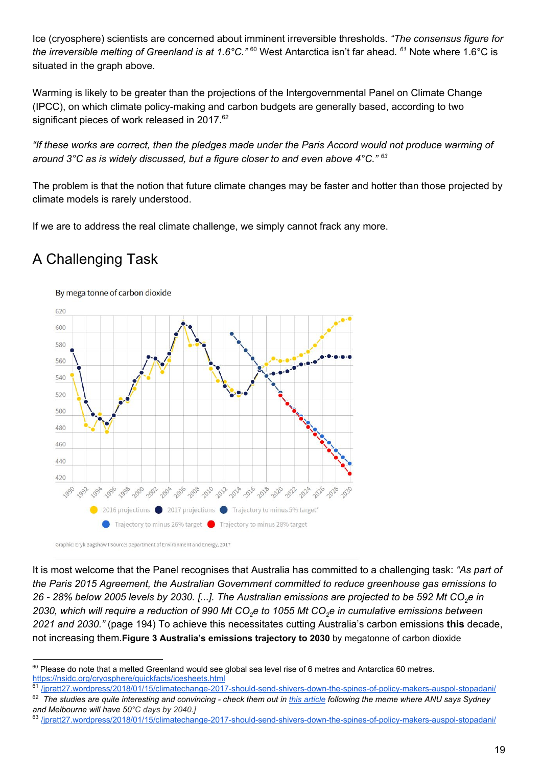Ice (cryosphere) scientists are concerned about imminent irreversible thresholds. *"The consensus figure for* the irreversible melting of Greenland is at 1.6°C."<sup>60</sup> West Antarctica isn't far ahead. <sup>61</sup> Note where 1.6°C is situated in the graph above.

Warming is likely to be greater than the projections of the Intergovernmental Panel on Climate Change (IPCC), on which climate policy-making and carbon budgets are generally based, according to two significant pieces of work released in 2017.<sup>62</sup>

"If these works are correct, then the pledges made under the Paris Accord would not produce warming of *around 3°C as is widely discussed, but a figure closer to and even above 4°C." 63*

The problem is that the notion that future climate changes may be faster and hotter than those projected by climate models is rarely understood.

If we are to address the real climate challenge, we simply cannot frack any more.

# A Challenging Task



Graphic: Eryk Bagshaw I Source: Department of Environment and Energy, 2017

It is most welcome that the Panel recognises that Australia has committed to a challenging task: *"As part of the Paris 2015 Agreement, the Australian Government committed to reduce greenhouse gas emissions to* 26 - 28% below 2005 levels by 2030. [...]. The Australian emissions are projected to be 592 Mt CO<sub>2</sub>e in 2030, which will require a reduction of 990 Mt CO<sub>2</sub>e to 1055 Mt CO<sub>2</sub>e in cumulative emissions between *2021 and 2030."* (page 194) To achieve this necessitates cutting Australia's carbon emissions **this** decade, not increasing them.**Figure 3 Australia's emissions trajectory to 2030** by megatonne of carbon dioxide

 $^{60}$  Please do note that a melted Greenland would see global sea level rise of 6 metres and Antarctica 60 metres. <https://nsidc.org/cryosphere/quickfacts/icesheets.html>

<sup>&</sup>lt;sup>61</sup>[/jpratt27.wordpress/2018/01/15/climatechange-2017-should-send-shivers-down-the-spines-of-policy-makers-auspol-stopadani/](https://jpratt27.wordpress.com/2018/01/15/climatechange-2017-should-send-shivers-down-the-spines-of-policy-makers-auspol-stopadani/) <sup>62</sup> The studies are quite interesting and convincing - check them out in *[this article](https://jpratt27.wordpress.com/2018/01/15/climatechange-2017-should-send-shivers-down-the-spines-of-policy-makers-auspol-stopadani/)* following the meme where ANU says Sydney *and Melbourne will have 50°C days by 2040.]*

<sup>63</sup> [/jpratt27.wordpress/2018/01/15/climatechange-2017-should-send-shivers-down-the-spines-of-policy-makers-auspol-stopadani/](https://jpratt27.wordpress.com/2018/01/15/climatechange-2017-should-send-shivers-down-the-spines-of-policy-makers-auspol-stopadani/)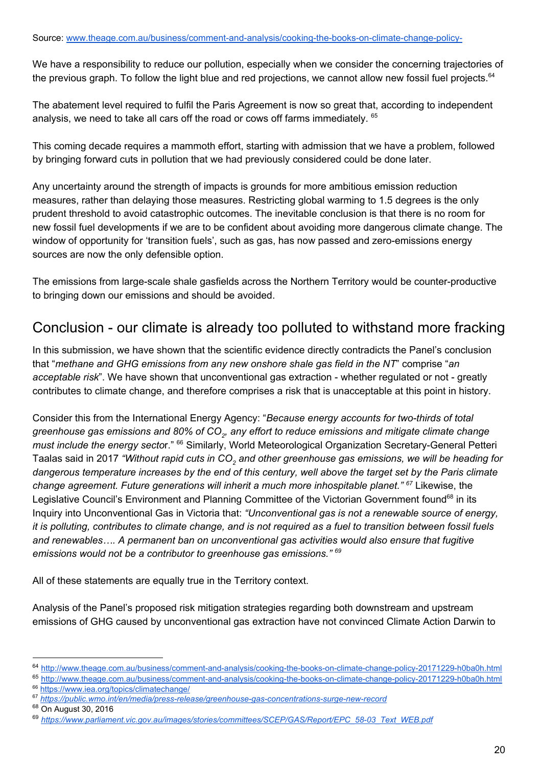We have a responsibility to reduce our pollution, especially when we consider the concerning trajectories of the previous graph. To follow the light blue and red projections, we cannot allow new fossil fuel projects.<sup>64</sup>

The abatement level required to fulfil the Paris Agreement is now so great that, according to independent analysis, we need to take all cars off the road or cows off farms immediately. 65

This coming decade requires a mammoth effort, starting with admission that we have a problem, followed by bringing forward cuts in pollution that we had previously considered could be done later.

Any uncertainty around the strength of impacts is grounds for more ambitious emission reduction measures, rather than delaying those measures. Restricting global warming to 1.5 degrees is the only prudent threshold to avoid catastrophic outcomes. The inevitable conclusion is that there is no room for new fossil fuel developments if we are to be confident about avoiding more dangerous climate change. The window of opportunity for 'transition fuels', such as gas, has now passed and zero-emissions energy sources are now the only defensible option.

The emissions from large-scale shale gasfields across the Northern Territory would be counter-productive to bringing down our emissions and should be avoided.

#### Conclusion - our climate is already too polluted to withstand more fracking

In this submission, we have shown that the scientific evidence directly contradicts the Panel's conclusion that "*methane and GHG emissions from any new onshore shale gas field in the NT*" comprise "*an acceptable risk*". We have shown that unconventional gas extraction - whether regulated or not - greatly contributes to climate change, and therefore comprises a risk that is unacceptable at this point in history.

Consider this from the International Energy Agency: "*Because energy accounts for two-thirds of total* greenhouse gas emissions and 80% of CO $_{\rm 2}$ , any effort to reduce emissions and mitigate climate change must include the energy sector." <sup>66</sup> Similarly, World Meteorological Organization Secretary-General Petteri Taalas said in 2017 *"Without rapid cuts in CO<sup>2</sup> and other greenhouse gas emissions, we will be heading for* dangerous temperature increases by the end of this century, well above the target set by the Paris climate *change agreement. Future generations will inherit a much more inhospitable planet."* Likewise, the *67* Legislative Council's Environment and Planning Committee of the Victorian Government found<sup>68</sup> in its Inquiry into Unconventional Gas in Victoria that: *"Unconventional gas is not a renewable source of energy,* it is polluting, contributes to climate change, and is not required as a fuel to transition between fossil fuels *and renewables…. A permanent ban on unconventional gas activities would also ensure that fugitive emissions would not be a contributor to greenhouse gas emissions." 69*

All of these statements are equally true in the Territory context.

Analysis of the Panel's proposed risk mitigation strategies regarding both downstream and upstream emissions of GHG caused by unconventional gas extraction have not convinced Climate Action Darwin to

<sup>64</sup> <http://www.theage.com.au/business/comment-and-analysis/cooking-the-books-on-climate-change-policy-20171229-h0ba0h.html>

<sup>65</sup> <http://www.theage.com.au/business/comment-and-analysis/cooking-the-books-on-climate-change-policy-20171229-h0ba0h.html>

<sup>&</sup>lt;sup>66</sup> <https://www.iea.org/topics/climatechange/>

<sup>67</sup> *<https://public.wmo.int/en/media/press-release/greenhouse-gas-concentrations-surge-new-record>*

<sup>68</sup> On August 30, 2016

<sup>69</sup> *[https://www.parliament.vic.gov.au/images/stories/committees/SCEP/GAS/Report/EPC\\_58-03\\_Text\\_WEB.pdf](https://www.parliament.vic.gov.au/images/stories/committees/SCEP/GAS/Report/EPC_58-03_Text_WEB.pdf)*